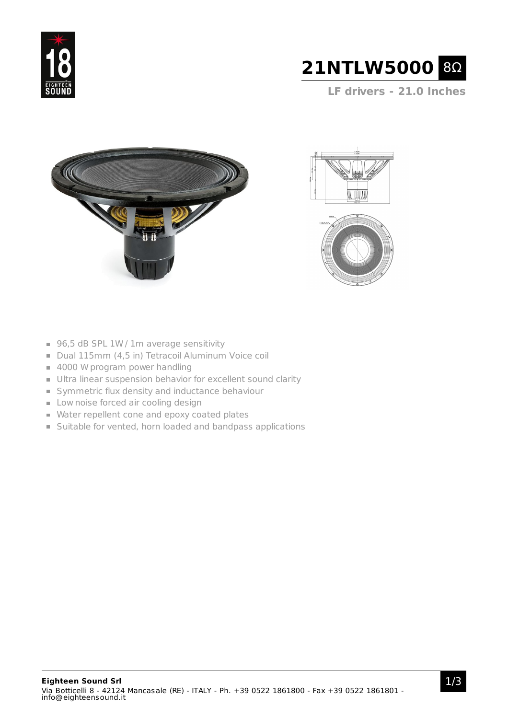



**LF drivers - 21.0 Inches**







- 96,5 dB SPL 1W / 1m average sensitivity
- Dual 115mm (4,5 in) Tetracoil Aluminum Voice coil
- 4000 W program power handling
- Ultra linear suspension behavior for excellent sound clarity
- Symmetric flux density and inductance behaviour
- **Low noise forced air cooling design**
- Water repellent cone and epoxy coated plates
- Suitable for vented, horn loaded and bandpass applications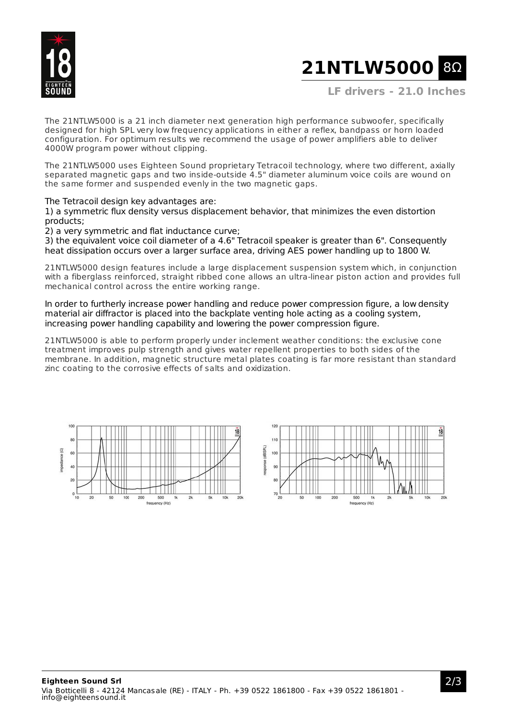

# **21NTLW5000** 8Ω

**LF drivers - 21.0 Inches**

The 21NTLW5000 is a 21 inch diameter next generation high performance subwoofer, specifically designed for high SPL very low frequency applications in either a reflex, bandpass or horn loaded configuration. For optimum results we recommend the usage of power amplifiers able to deliver 4000W program power without clipping.

The 21NTLW5000 uses Eighteen Sound proprietary Tetracoil technology, where two different, axially separated magnetic gaps and two inside-outside 4.5" diameter aluminum voice coils are wound on the same former and suspended evenly in the two magnetic gaps.

The Tetracoil design key advantages are:

1) a symmetric flux density versus displacement behavior, that minimizes the even distortion products;

2) a very symmetric and flat inductance curve;

3) the equivalent voice coil diameter of a 4.6" Tetracoil speaker is greater than 6". Consequently heat dissipation occurs over a larger surface area, driving AES power handling up to 1800 W.

21NTLW5000 design features include a large displacement suspension system which, in conjunction with a fiberglass reinforced, straight ribbed cone allows an ultra-linear piston action and provides full mechanical control across the entire working range.

In order to furtherly increase power handling and reduce power compression figure, a low density material air diffractor is placed into the backplate venting hole acting as a cooling system, increasing power handling capability and lowering the power compression figure.

21NTLW5000 is able to perform properly under inclement weather conditions: the exclusive cone treatment improves pulp strength and gives water repellent properties to both sides of the membrane. In addition, magnetic structure metal plates coating is far more resistant than standard zinc coating to the corrosive effects of salts and oxidization.